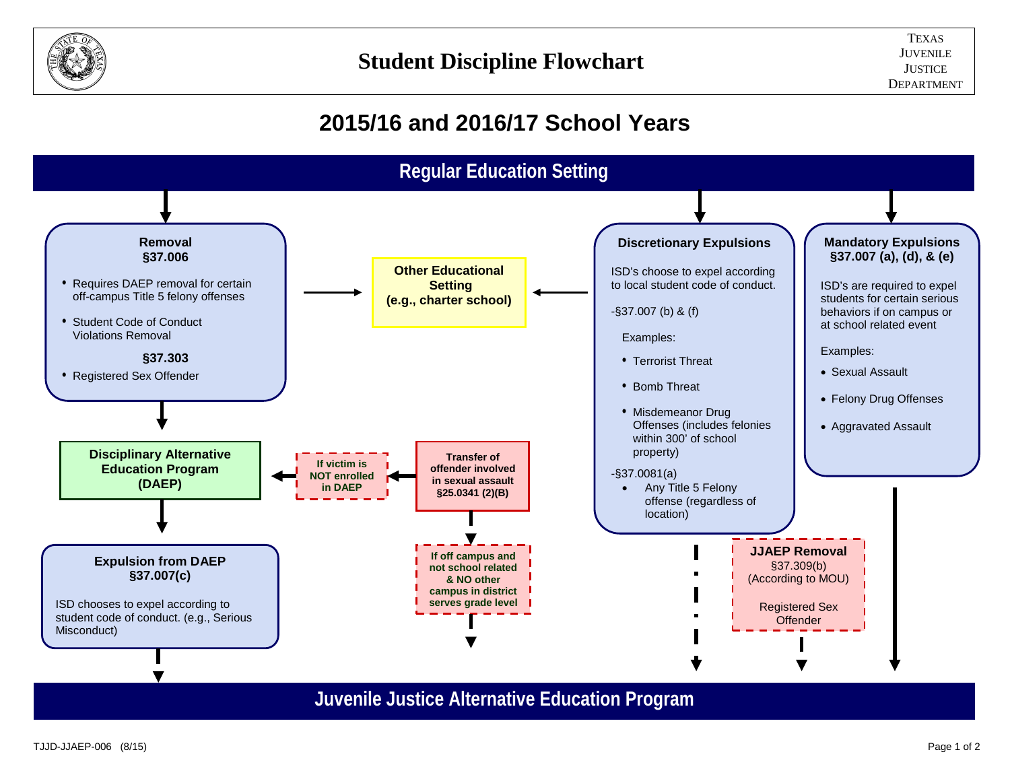

## **2015/16 and 2016/17 School Years**